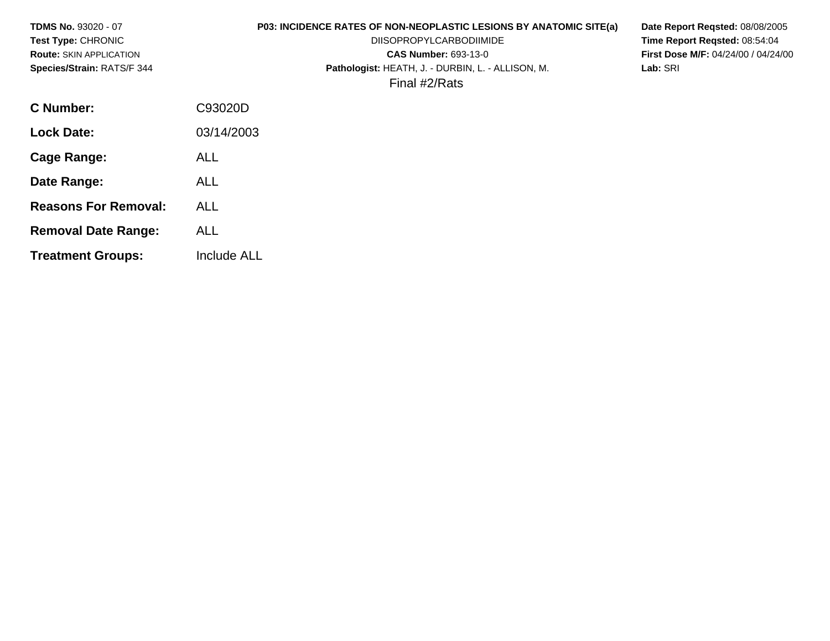| <b>TDMS No. 93020 - 07</b><br>Test Type: CHRONIC<br><b>Route: SKIN APPLICATION</b><br>Species/Strain: RATS/F 344 | P03: INCIDENCE RATES OF NON-NEOPLASTIC LESIONS BY ANATOMIC SITE(a)<br><b>DIISOPROPYLCARBODIIMIDE</b><br><b>CAS Number: 693-13-0</b><br>Pathologist: HEATH, J. - DURBIN, L. - ALLISON, M.<br>Lab: SRI<br>Final #2/Rats | Date Report Regsted: 08/08/2005<br>Time Report Regsted: 08:54:04<br><b>First Dose M/F: 04/24/00 / 04/24/00</b> |
|------------------------------------------------------------------------------------------------------------------|-----------------------------------------------------------------------------------------------------------------------------------------------------------------------------------------------------------------------|----------------------------------------------------------------------------------------------------------------|
| C Number:                                                                                                        | C93020D                                                                                                                                                                                                               |                                                                                                                |
| <b>Lock Date:</b>                                                                                                | 03/14/2003                                                                                                                                                                                                            |                                                                                                                |
| <b>Cage Range:</b>                                                                                               | <b>ALL</b>                                                                                                                                                                                                            |                                                                                                                |
| Date Range:                                                                                                      | <b>ALL</b>                                                                                                                                                                                                            |                                                                                                                |
| <b>Reasons For Removal:</b>                                                                                      | <b>ALL</b>                                                                                                                                                                                                            |                                                                                                                |
| <b>Removal Date Range:</b>                                                                                       | <b>ALL</b>                                                                                                                                                                                                            |                                                                                                                |
| <b>Treatment Groups:</b>                                                                                         | Include ALL                                                                                                                                                                                                           |                                                                                                                |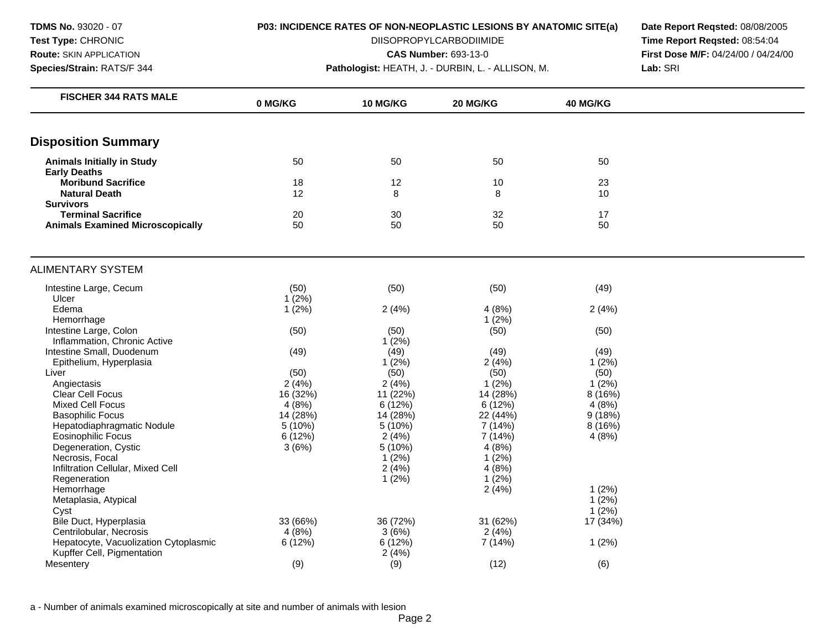**TDMS No.** 93020 - 07 **Test Type:** CHRONIC **Route:** SKIN APPLICATION

# **Species/Strain:** RATS/F 344

**P03: INCIDENCE RATES OF NON-NEOPLASTIC LESIONS BY ANATOMIC SITE(a)** 

DIISOPROPYLCARBODIIMIDE

**CAS Number:** 693-13-0

**Pathologist:** HEATH, J. - DURBIN, L. - ALLISON, M.

**Date Report Reqsted:** 08/08/2005 **Time Report Reqsted:** 08:54:04 **First Dose M/F:** 04/24/00 / 04/24/00 **Lab:** SRI

| <b>Disposition Summary</b><br>50<br>50<br><b>Animals Initially in Study</b><br>50<br>50<br><b>Early Deaths</b><br><b>Moribund Sacrifice</b><br>18<br>12<br>23<br>10<br><b>Natural Death</b><br>12<br>8<br>8<br>10<br><b>Survivors</b><br><b>Terminal Sacrifice</b><br>32<br>17<br>20<br>30<br>50<br>50<br>50<br>50<br><b>Animals Examined Microscopically</b><br>(50)<br>(50)<br>(50)<br>Intestine Large, Cecum<br>(49)<br>Ulcer<br>1(2%)<br>Edema<br>1(2%)<br>2(4%)<br>4(8%)<br>2(4%)<br>Hemorrhage<br>1(2%)<br>Intestine Large, Colon<br>(50)<br>(50)<br>(50)<br>(50)<br>Inflammation, Chronic Active<br>1(2%)<br>Intestine Small, Duodenum<br>(49)<br>(49)<br>(49)<br>(49)<br>1(2%)<br>1(2%)<br>Epithelium, Hyperplasia<br>2(4%)<br>(50)<br>(50)<br>(50)<br>Liver<br>(50)<br>2(4%)<br>2(4%)<br>1(2%)<br>1(2%)<br>Angiectasis<br><b>Clear Cell Focus</b><br>16 (32%)<br>11 (22%)<br>14 (28%)<br>8 (16%)<br><b>Mixed Cell Focus</b><br>4(8%)<br>6(12%)<br>6(12%)<br>4(8%)<br>14 (28%)<br>14 (28%)<br><b>Basophilic Focus</b><br>22 (44%)<br>9(18%)<br>5(10%)<br>Hepatodiaphragmatic Nodule<br>5(10%)<br>7 (14%)<br>8 (16%)<br>6(12%)<br>Eosinophilic Focus<br>2(4%)<br>7 (14%)<br>4(8%)<br>3(6%)<br>4(8%)<br>Degeneration, Cystic<br>5(10%)<br>1(2%)<br>1(2%)<br>Necrosis, Focal<br>Infiltration Cellular, Mixed Cell<br>2(4%)<br>4(8%)<br>Regeneration<br>1(2%)<br>1(2%)<br>Hemorrhage<br>1(2%)<br>2(4%)<br>1(2%)<br>Metaplasia, Atypical<br>1(2%)<br>Cyst<br>Bile Duct, Hyperplasia<br>33 (66%)<br>36 (72%)<br>31 (62%)<br>17 (34%)<br>4(8%)<br>3(6%)<br>Centrilobular, Necrosis<br>2(4%)<br>Hepatocyte, Vacuolization Cytoplasmic<br>6(12%)<br>6(12%)<br>7 (14%)<br>1(2%)<br>Kupffer Cell, Pigmentation<br>2(4%) | <b>FISCHER 344 RATS MALE</b> | 0 MG/KG | <b>10 MG/KG</b> | 20 MG/KG | 40 MG/KG |  |
|----------------------------------------------------------------------------------------------------------------------------------------------------------------------------------------------------------------------------------------------------------------------------------------------------------------------------------------------------------------------------------------------------------------------------------------------------------------------------------------------------------------------------------------------------------------------------------------------------------------------------------------------------------------------------------------------------------------------------------------------------------------------------------------------------------------------------------------------------------------------------------------------------------------------------------------------------------------------------------------------------------------------------------------------------------------------------------------------------------------------------------------------------------------------------------------------------------------------------------------------------------------------------------------------------------------------------------------------------------------------------------------------------------------------------------------------------------------------------------------------------------------------------------------------------------------------------------------------------------------------------------------------------------------------------------------------------------------------|------------------------------|---------|-----------------|----------|----------|--|
|                                                                                                                                                                                                                                                                                                                                                                                                                                                                                                                                                                                                                                                                                                                                                                                                                                                                                                                                                                                                                                                                                                                                                                                                                                                                                                                                                                                                                                                                                                                                                                                                                                                                                                                      |                              |         |                 |          |          |  |
|                                                                                                                                                                                                                                                                                                                                                                                                                                                                                                                                                                                                                                                                                                                                                                                                                                                                                                                                                                                                                                                                                                                                                                                                                                                                                                                                                                                                                                                                                                                                                                                                                                                                                                                      |                              |         |                 |          |          |  |
|                                                                                                                                                                                                                                                                                                                                                                                                                                                                                                                                                                                                                                                                                                                                                                                                                                                                                                                                                                                                                                                                                                                                                                                                                                                                                                                                                                                                                                                                                                                                                                                                                                                                                                                      |                              |         |                 |          |          |  |
|                                                                                                                                                                                                                                                                                                                                                                                                                                                                                                                                                                                                                                                                                                                                                                                                                                                                                                                                                                                                                                                                                                                                                                                                                                                                                                                                                                                                                                                                                                                                                                                                                                                                                                                      |                              |         |                 |          |          |  |
|                                                                                                                                                                                                                                                                                                                                                                                                                                                                                                                                                                                                                                                                                                                                                                                                                                                                                                                                                                                                                                                                                                                                                                                                                                                                                                                                                                                                                                                                                                                                                                                                                                                                                                                      |                              |         |                 |          |          |  |
|                                                                                                                                                                                                                                                                                                                                                                                                                                                                                                                                                                                                                                                                                                                                                                                                                                                                                                                                                                                                                                                                                                                                                                                                                                                                                                                                                                                                                                                                                                                                                                                                                                                                                                                      |                              |         |                 |          |          |  |
|                                                                                                                                                                                                                                                                                                                                                                                                                                                                                                                                                                                                                                                                                                                                                                                                                                                                                                                                                                                                                                                                                                                                                                                                                                                                                                                                                                                                                                                                                                                                                                                                                                                                                                                      |                              |         |                 |          |          |  |
|                                                                                                                                                                                                                                                                                                                                                                                                                                                                                                                                                                                                                                                                                                                                                                                                                                                                                                                                                                                                                                                                                                                                                                                                                                                                                                                                                                                                                                                                                                                                                                                                                                                                                                                      |                              |         |                 |          |          |  |
|                                                                                                                                                                                                                                                                                                                                                                                                                                                                                                                                                                                                                                                                                                                                                                                                                                                                                                                                                                                                                                                                                                                                                                                                                                                                                                                                                                                                                                                                                                                                                                                                                                                                                                                      | <b>ALIMENTARY SYSTEM</b>     |         |                 |          |          |  |
|                                                                                                                                                                                                                                                                                                                                                                                                                                                                                                                                                                                                                                                                                                                                                                                                                                                                                                                                                                                                                                                                                                                                                                                                                                                                                                                                                                                                                                                                                                                                                                                                                                                                                                                      |                              |         |                 |          |          |  |
|                                                                                                                                                                                                                                                                                                                                                                                                                                                                                                                                                                                                                                                                                                                                                                                                                                                                                                                                                                                                                                                                                                                                                                                                                                                                                                                                                                                                                                                                                                                                                                                                                                                                                                                      |                              |         |                 |          |          |  |
|                                                                                                                                                                                                                                                                                                                                                                                                                                                                                                                                                                                                                                                                                                                                                                                                                                                                                                                                                                                                                                                                                                                                                                                                                                                                                                                                                                                                                                                                                                                                                                                                                                                                                                                      |                              |         |                 |          |          |  |
|                                                                                                                                                                                                                                                                                                                                                                                                                                                                                                                                                                                                                                                                                                                                                                                                                                                                                                                                                                                                                                                                                                                                                                                                                                                                                                                                                                                                                                                                                                                                                                                                                                                                                                                      |                              |         |                 |          |          |  |
|                                                                                                                                                                                                                                                                                                                                                                                                                                                                                                                                                                                                                                                                                                                                                                                                                                                                                                                                                                                                                                                                                                                                                                                                                                                                                                                                                                                                                                                                                                                                                                                                                                                                                                                      |                              |         |                 |          |          |  |
|                                                                                                                                                                                                                                                                                                                                                                                                                                                                                                                                                                                                                                                                                                                                                                                                                                                                                                                                                                                                                                                                                                                                                                                                                                                                                                                                                                                                                                                                                                                                                                                                                                                                                                                      |                              |         |                 |          |          |  |
|                                                                                                                                                                                                                                                                                                                                                                                                                                                                                                                                                                                                                                                                                                                                                                                                                                                                                                                                                                                                                                                                                                                                                                                                                                                                                                                                                                                                                                                                                                                                                                                                                                                                                                                      |                              |         |                 |          |          |  |
|                                                                                                                                                                                                                                                                                                                                                                                                                                                                                                                                                                                                                                                                                                                                                                                                                                                                                                                                                                                                                                                                                                                                                                                                                                                                                                                                                                                                                                                                                                                                                                                                                                                                                                                      |                              |         |                 |          |          |  |
|                                                                                                                                                                                                                                                                                                                                                                                                                                                                                                                                                                                                                                                                                                                                                                                                                                                                                                                                                                                                                                                                                                                                                                                                                                                                                                                                                                                                                                                                                                                                                                                                                                                                                                                      |                              |         |                 |          |          |  |
|                                                                                                                                                                                                                                                                                                                                                                                                                                                                                                                                                                                                                                                                                                                                                                                                                                                                                                                                                                                                                                                                                                                                                                                                                                                                                                                                                                                                                                                                                                                                                                                                                                                                                                                      |                              |         |                 |          |          |  |
|                                                                                                                                                                                                                                                                                                                                                                                                                                                                                                                                                                                                                                                                                                                                                                                                                                                                                                                                                                                                                                                                                                                                                                                                                                                                                                                                                                                                                                                                                                                                                                                                                                                                                                                      |                              |         |                 |          |          |  |
|                                                                                                                                                                                                                                                                                                                                                                                                                                                                                                                                                                                                                                                                                                                                                                                                                                                                                                                                                                                                                                                                                                                                                                                                                                                                                                                                                                                                                                                                                                                                                                                                                                                                                                                      |                              |         |                 |          |          |  |
|                                                                                                                                                                                                                                                                                                                                                                                                                                                                                                                                                                                                                                                                                                                                                                                                                                                                                                                                                                                                                                                                                                                                                                                                                                                                                                                                                                                                                                                                                                                                                                                                                                                                                                                      |                              |         |                 |          |          |  |
|                                                                                                                                                                                                                                                                                                                                                                                                                                                                                                                                                                                                                                                                                                                                                                                                                                                                                                                                                                                                                                                                                                                                                                                                                                                                                                                                                                                                                                                                                                                                                                                                                                                                                                                      |                              |         |                 |          |          |  |
|                                                                                                                                                                                                                                                                                                                                                                                                                                                                                                                                                                                                                                                                                                                                                                                                                                                                                                                                                                                                                                                                                                                                                                                                                                                                                                                                                                                                                                                                                                                                                                                                                                                                                                                      |                              |         |                 |          |          |  |
|                                                                                                                                                                                                                                                                                                                                                                                                                                                                                                                                                                                                                                                                                                                                                                                                                                                                                                                                                                                                                                                                                                                                                                                                                                                                                                                                                                                                                                                                                                                                                                                                                                                                                                                      |                              |         |                 |          |          |  |
|                                                                                                                                                                                                                                                                                                                                                                                                                                                                                                                                                                                                                                                                                                                                                                                                                                                                                                                                                                                                                                                                                                                                                                                                                                                                                                                                                                                                                                                                                                                                                                                                                                                                                                                      |                              |         |                 |          |          |  |
|                                                                                                                                                                                                                                                                                                                                                                                                                                                                                                                                                                                                                                                                                                                                                                                                                                                                                                                                                                                                                                                                                                                                                                                                                                                                                                                                                                                                                                                                                                                                                                                                                                                                                                                      |                              |         |                 |          |          |  |
|                                                                                                                                                                                                                                                                                                                                                                                                                                                                                                                                                                                                                                                                                                                                                                                                                                                                                                                                                                                                                                                                                                                                                                                                                                                                                                                                                                                                                                                                                                                                                                                                                                                                                                                      |                              |         |                 |          |          |  |
|                                                                                                                                                                                                                                                                                                                                                                                                                                                                                                                                                                                                                                                                                                                                                                                                                                                                                                                                                                                                                                                                                                                                                                                                                                                                                                                                                                                                                                                                                                                                                                                                                                                                                                                      |                              |         |                 |          |          |  |
|                                                                                                                                                                                                                                                                                                                                                                                                                                                                                                                                                                                                                                                                                                                                                                                                                                                                                                                                                                                                                                                                                                                                                                                                                                                                                                                                                                                                                                                                                                                                                                                                                                                                                                                      |                              |         |                 |          |          |  |
|                                                                                                                                                                                                                                                                                                                                                                                                                                                                                                                                                                                                                                                                                                                                                                                                                                                                                                                                                                                                                                                                                                                                                                                                                                                                                                                                                                                                                                                                                                                                                                                                                                                                                                                      |                              |         |                 |          |          |  |
|                                                                                                                                                                                                                                                                                                                                                                                                                                                                                                                                                                                                                                                                                                                                                                                                                                                                                                                                                                                                                                                                                                                                                                                                                                                                                                                                                                                                                                                                                                                                                                                                                                                                                                                      |                              |         |                 |          |          |  |
|                                                                                                                                                                                                                                                                                                                                                                                                                                                                                                                                                                                                                                                                                                                                                                                                                                                                                                                                                                                                                                                                                                                                                                                                                                                                                                                                                                                                                                                                                                                                                                                                                                                                                                                      |                              |         |                 |          |          |  |
|                                                                                                                                                                                                                                                                                                                                                                                                                                                                                                                                                                                                                                                                                                                                                                                                                                                                                                                                                                                                                                                                                                                                                                                                                                                                                                                                                                                                                                                                                                                                                                                                                                                                                                                      |                              |         |                 |          |          |  |
| (9)<br>(12)<br>(6)<br>Mesentery<br>(9)                                                                                                                                                                                                                                                                                                                                                                                                                                                                                                                                                                                                                                                                                                                                                                                                                                                                                                                                                                                                                                                                                                                                                                                                                                                                                                                                                                                                                                                                                                                                                                                                                                                                               |                              |         |                 |          |          |  |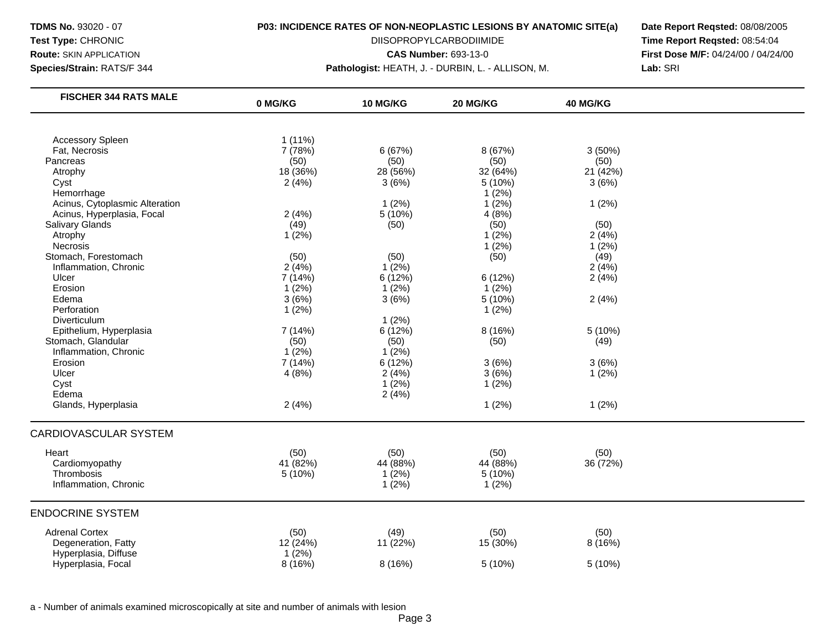**Species/Strain:** RATS/F 344 **Pathologist:** HEATH, J. - DURBIN, L. - ALLISON, M. **Lab:** SRI

**Test Type: CHRONIC CHRONIC** DIISOPROPYLCARBODIIMIDE **Time Report Reqsted:** 08:54:04 **Route:** SKIN APPLICATION **CAS Number: 693-13-0 CAS Number: 693-13-0 First Dose M/F:** 04/24/00 / 04/24/00

| <b>FISCHER 344 RATS MALE</b>   | 0 MG/KG   | 10 MG/KG | 20 MG/KG | 40 MG/KG |  |
|--------------------------------|-----------|----------|----------|----------|--|
|                                |           |          |          |          |  |
| <b>Accessory Spleen</b>        | $1(11\%)$ |          |          |          |  |
| Fat, Necrosis                  | 7 (78%)   | 6(67%)   | 8 (67%)  | 3(50%)   |  |
| Pancreas                       | (50)      | (50)     | (50)     | (50)     |  |
| Atrophy                        | 18 (36%)  | 28 (56%) | 32 (64%) | 21 (42%) |  |
| Cyst                           | 2(4%)     | 3(6%)    | 5 (10%)  | 3(6%)    |  |
| Hemorrhage                     |           |          | 1(2%)    |          |  |
| Acinus, Cytoplasmic Alteration |           | 1(2%)    | 1(2%)    | 1(2%)    |  |
| Acinus, Hyperplasia, Focal     | 2(4%)     | 5 (10%)  | 4(8%)    |          |  |
| <b>Salivary Glands</b>         | (49)      | (50)     | (50)     | (50)     |  |
| Atrophy                        | 1(2%)     |          | 1(2%)    | 2(4%)    |  |
| Necrosis                       |           |          | 1(2%)    | 1(2%)    |  |
| Stomach, Forestomach           | (50)      | (50)     | (50)     | (49)     |  |
| Inflammation, Chronic          | 2(4%)     | $1(2\%)$ |          | 2(4%)    |  |
| Ulcer                          | 7(14%)    | 6 (12%)  | 6(12%)   | 2(4%)    |  |
| Erosion                        | 1(2%)     | 1(2%)    | $1(2\%)$ |          |  |
| Edema                          | 3(6%)     | 3(6%)    | 5 (10%)  | 2(4%)    |  |
| Perforation                    | 1(2%)     |          | 1(2%)    |          |  |
| Diverticulum                   |           | 1(2%)    |          |          |  |
| Epithelium, Hyperplasia        | 7(14%)    | 6 (12%)  | 8(16%)   | 5 (10%)  |  |
| Stomach, Glandular             | (50)      | (50)     | (50)     | (49)     |  |
| Inflammation, Chronic          | 1(2%)     | 1(2%)    |          |          |  |
| Erosion                        | 7 (14%)   | 6 (12%)  | 3(6%)    | 3(6%)    |  |
| Ulcer                          | 4(8%)     | 2(4%)    | 3(6%)    | 1(2%)    |  |
| Cyst                           |           | 1(2%)    | 1(2%)    |          |  |
| Edema                          |           | 2(4%)    |          |          |  |
| Glands, Hyperplasia            | 2(4%)     |          | 1(2%)    | 1(2%)    |  |
|                                |           |          |          |          |  |
| <b>CARDIOVASCULAR SYSTEM</b>   |           |          |          |          |  |
| Heart                          | (50)      | (50)     | (50)     | (50)     |  |
| Cardiomyopathy                 | 41 (82%)  | 44 (88%) | 44 (88%) | 36 (72%) |  |
| Thrombosis                     | 5 (10%)   | 1(2%)    | 5(10%)   |          |  |
| Inflammation, Chronic          |           | 1(2%)    | 1(2%)    |          |  |
|                                |           |          |          |          |  |
| <b>ENDOCRINE SYSTEM</b>        |           |          |          |          |  |
| <b>Adrenal Cortex</b>          | (50)      | (49)     | (50)     | (50)     |  |
| Degeneration, Fatty            | 12 (24%)  | 11 (22%) | 15 (30%) | 8 (16%)  |  |
| Hyperplasia, Diffuse           | 1(2%)     |          |          |          |  |
| Hyperplasia, Focal             | 8(16%)    | 8 (16%)  | 5 (10%)  | 5 (10%)  |  |
|                                |           |          |          |          |  |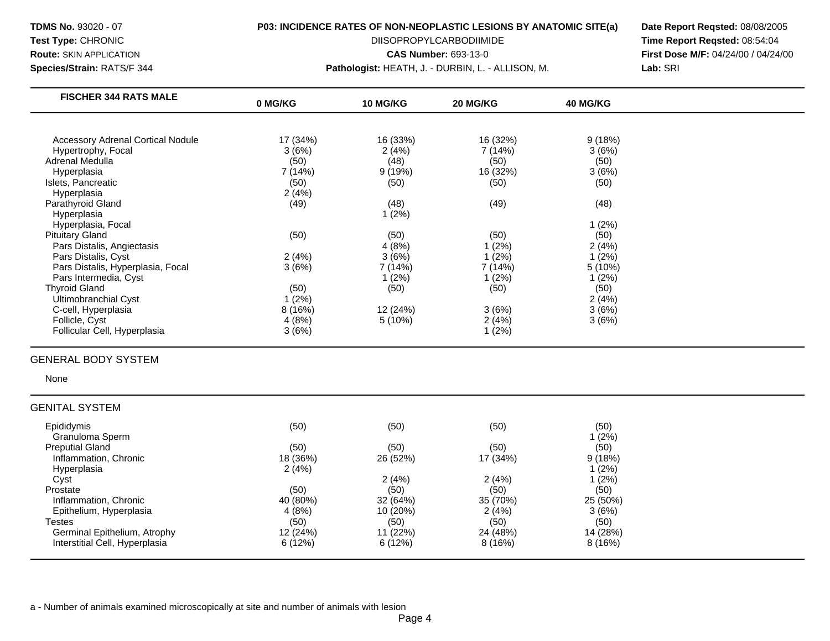**Species/Strain:** RATS/F 344 **Pathologist:** HEATH, J. - DURBIN, L. - ALLISON, M. **Lab:** SRI

**Test Type: CHRONIC CHRONIC** DIISOPROPYLCARBODIIMIDE **Time Report Reqsted:** 08:54:04 **Route:** SKIN APPLICATION **CAS Number: 693-13-0 CAS Number: 693-13-0 First Dose M/F:** 04/24/00 / 04/24/00

| 0 MG/KG  | <b>10 MG/KG</b> | <b>20 MG/KG</b>        | <b>40 MG/KG</b>                          |                                                          |
|----------|-----------------|------------------------|------------------------------------------|----------------------------------------------------------|
|          |                 |                        |                                          |                                                          |
| 17 (34%) | 16 (33%)        | 16 (32%)               |                                          |                                                          |
| 3(6%)    | 2(4%)           | 7 (14%)                | 3(6%)                                    |                                                          |
| (50)     | (48)            |                        |                                          |                                                          |
| 7 (14%)  |                 |                        |                                          |                                                          |
|          |                 |                        |                                          |                                                          |
|          |                 |                        |                                          |                                                          |
| (49)     | (48)            | (49)                   | (48)                                     |                                                          |
|          | 1(2%)           |                        |                                          |                                                          |
|          |                 |                        |                                          |                                                          |
| (50)     |                 |                        |                                          |                                                          |
|          | 4(8%)           | 1 (2%)                 | 2(4%)                                    |                                                          |
| 2(4%)    | 3(6%)           | (2%)                   | 1(2%)                                    |                                                          |
| 3(6%)    | 7 (14%)         | 7 (14%)                | 5(10%)                                   |                                                          |
|          | $1(2\%)$        | 1(2%)                  | 1(2%)                                    |                                                          |
| (50)     | (50)            |                        |                                          |                                                          |
| 1(2%)    |                 |                        | 2(4%)                                    |                                                          |
| 8(16%)   | 12 (24%)        | 3(6%)                  | 3(6%)                                    |                                                          |
| 4(8%)    | 5(10%)          | 2(4%)                  | 3(6%)                                    |                                                          |
| 3(6%)    |                 | 1 (2%)                 |                                          |                                                          |
|          | (50)<br>2(4%)   | 9(19%)<br>(50)<br>(50) | (50)<br>16 (32%)<br>(50)<br>(50)<br>(50) | 9(18%)<br>(50)<br>3(6%)<br>(50)<br>1(2%)<br>(50)<br>(50) |

# GENERAL BODY SYSTEM

None

### GENITAL SYSTEM

| Epididymis                     | (50)     | (50)     | (50)     | (50)     |
|--------------------------------|----------|----------|----------|----------|
| Granuloma Sperm                |          |          |          | 1(2%)    |
| <b>Preputial Gland</b>         | (50)     | (50)     | (50)     | (50)     |
| Inflammation, Chronic          | 18 (36%) | 26 (52%) | 17 (34%) | 9(18%)   |
| Hyperplasia                    | 2(4%)    |          |          | 1(2%)    |
| Cyst                           |          | 2(4%)    | 2(4%)    | 1(2%)    |
| Prostate                       | (50)     | (50)     | (50)     | (50)     |
| Inflammation, Chronic          | 40 (80%) | 32 (64%) | 35 (70%) | 25 (50%) |
| Epithelium, Hyperplasia        | 4(8%)    | 10 (20%) | 2(4%)    | 3(6%)    |
| Testes                         | (50)     | (50)     | (50)     | (50)     |
| Germinal Epithelium, Atrophy   | 12(24%)  | 11 (22%) | 24 (48%) | 14 (28%) |
| Interstitial Cell, Hyperplasia | 6(12%)   | 6(12%)   | 8(16%)   | 8(16%)   |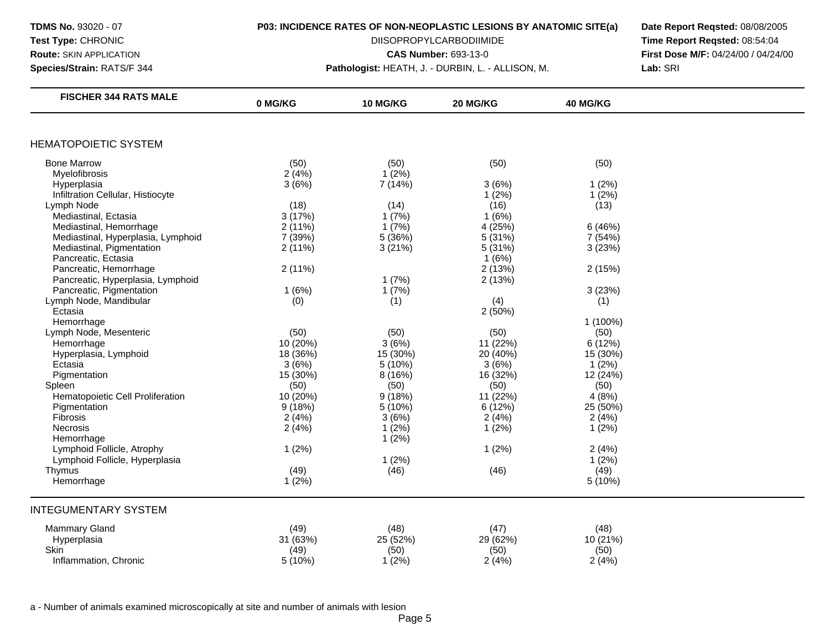**Species/Strain:** RATS/F 344 **Pathologist:** HEATH, J. - DURBIN, L. - ALLISON, M. **Lab:** SRI

**TDMS No.** 93020 - 07 **P03: INCIDENCE RATES OF NON-NEOPLASTIC LESIONS BY ANATOMIC SITE(a) Date Report Reqsted:** 08/08/2005 **Test Type: CHRONIC CHRONIC** DIISOPROPYLCARBODIIMIDE **Time Report Reqsted:** 08:54:04 **Route:** SKIN APPLICATION **CAS Number:** 693-13-0 **First Dose M/F:** 04/24/00 / 04/24/00

| <b>HEMATOPOIETIC SYSTEM</b>                                                   |  |
|-------------------------------------------------------------------------------|--|
| <b>Bone Marrow</b><br>(50)<br>(50)<br>(50)<br>(50)                            |  |
| $1(2\%)$<br>2(4%)<br>Myelofibrosis                                            |  |
| 3(6%)<br>7 (14%)<br>3(6%)<br>Hyperplasia<br>1(2%)                             |  |
| 1(2%)<br>Infiltration Cellular, Histiocyte<br>1(2%)                           |  |
| (18)<br>(16)<br>(13)<br>Lymph Node<br>(14)                                    |  |
| Mediastinal, Ectasia<br>3(17%)<br>1(6%)<br>1(7%)                              |  |
| Mediastinal, Hemorrhage<br>2(11%)<br>1(7%)<br>4 (25%)<br>6(46%)               |  |
| 5 (36%)<br>5(31%)<br>Mediastinal, Hyperplasia, Lymphoid<br>7 (39%)<br>7 (54%) |  |
| Mediastinal, Pigmentation<br>5(31%)<br>2(11%)<br>3(21%)<br>3(23%)             |  |
| Pancreatic, Ectasia<br>1(6%)                                                  |  |
| Pancreatic, Hemorrhage<br>2(11%)<br>2(13%)<br>2(15%)                          |  |
| Pancreatic, Hyperplasia, Lymphoid<br>1(7%)<br>2(13%)                          |  |
| Pancreatic, Pigmentation<br>1(6%)<br>1(7%)<br>3(23%)                          |  |
| Lymph Node, Mandibular<br>(0)<br>(1)<br>(4)<br>(1)                            |  |
| 2(50%)<br>Ectasia                                                             |  |
| Hemorrhage<br>1 (100%)                                                        |  |
| (50)<br>Lymph Node, Mesenteric<br>(50)<br>(50)<br>(50)                        |  |
| 3(6%)<br>10 (20%)<br>11 (22%)<br>6(12%)<br>Hemorrhage                         |  |
| 18 (36%)<br>15 (30%)<br>20 (40%)<br>Hyperplasia, Lymphoid<br>15 (30%)         |  |
| 3(6%)<br>3(6%)<br>1(2%)<br>Ectasia<br>5 (10%)                                 |  |
| 15 (30%)<br>16 (32%)<br>8 (16%)<br>12 (24%)<br>Pigmentation                   |  |
| Spleen<br>(50)<br>(50)<br>(50)<br>(50)                                        |  |
| 10 (20%)<br>9(18%)<br>Hematopoietic Cell Proliferation<br>11 (22%)<br>4(8%)   |  |
| 9(18%)<br>5 (10%)<br>6 (12%)<br>25 (50%)<br>Pigmentation                      |  |
| Fibrosis<br>2(4%)<br>3(6%)<br>2(4%)<br>2(4%)                                  |  |
| 2(4%)<br>1(2%)<br>1(2%)<br>Necrosis<br>1(2%)                                  |  |
| 1(2%)<br>Hemorrhage                                                           |  |
| Lymphoid Follicle, Atrophy<br>1(2%)<br>1(2%)<br>2(4%)                         |  |
| Lymphoid Follicle, Hyperplasia<br>1(2%)<br>1(2%)                              |  |
| (49)<br>(49)<br>Thymus<br>(46)<br>(46)                                        |  |
| Hemorrhage<br>1(2%)<br>5 (10%)                                                |  |
| <b>INTEGUMENTARY SYSTEM</b>                                                   |  |
| <b>Mammary Gland</b><br>(49)<br>(48)<br>(47)<br>(48)                          |  |
| 25 (52%)<br>29 (62%)<br>10 (21%)<br>Hyperplasia<br>31 (63%)                   |  |
| Skin<br>(49)<br>(50)<br>(50)<br>(50)                                          |  |
| $1(2\%)$<br>Inflammation, Chronic<br>5(10%)<br>2(4%)<br>2(4%)                 |  |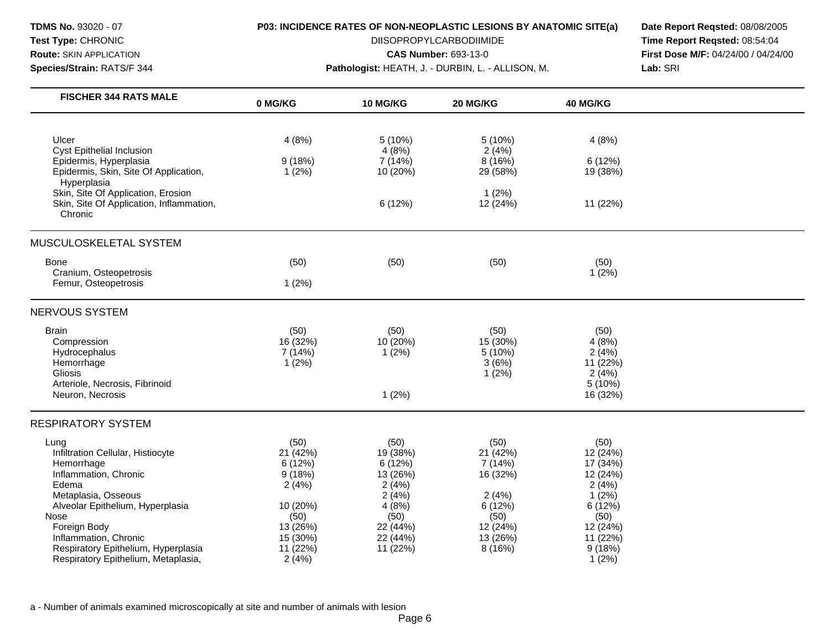**Species/Strain:** RATS/F 344 **Pathologist:** HEATH, J. - DURBIN, L. - ALLISON, M. **Lab:** SRI

**Test Type: CHRONIC CHRONIC** DIISOPROPYLCARBODIIMIDE **Time Report Reqsted:** 08:54:04 **Route:** SKIN APPLICATION **CAS Number: 693-13-0 CAS Number: 693-13-0 First Dose M/F:** 04/24/00 / 04/24/00

| <b>FISCHER 344 RATS MALE</b>                       | 0 MG/KG  | <b>10 MG/KG</b> | 20 MG/KG        | <b>40 MG/KG</b>     |  |
|----------------------------------------------------|----------|-----------------|-----------------|---------------------|--|
|                                                    |          |                 |                 |                     |  |
| Ulcer<br><b>Cyst Epithelial Inclusion</b>          | 4(8%)    | 5(10%)<br>4(8%) | 5(10%)<br>2(4%) | 4(8%)               |  |
| Epidermis, Hyperplasia                             | 9(18%)   | 7 (14%)         | 8 (16%)         | 6(12%)              |  |
| Epidermis, Skin, Site Of Application,              | 1(2%)    | 10 (20%)        | 29 (58%)        | 19 (38%)            |  |
| Hyperplasia                                        |          |                 |                 |                     |  |
| Skin, Site Of Application, Erosion                 |          |                 | 1(2%)           |                     |  |
| Skin, Site Of Application, Inflammation,           |          | 6(12%)          | 12 (24%)        | 11 (22%)            |  |
| Chronic                                            |          |                 |                 |                     |  |
| MUSCULOSKELETAL SYSTEM                             |          |                 |                 |                     |  |
| <b>Bone</b>                                        | (50)     | (50)            | (50)            | (50)                |  |
| Cranium, Osteopetrosis                             |          |                 |                 | 1(2%)               |  |
| Femur, Osteopetrosis                               | 1(2%)    |                 |                 |                     |  |
| NERVOUS SYSTEM                                     |          |                 |                 |                     |  |
| <b>Brain</b>                                       | (50)     | (50)            | (50)            | (50)                |  |
| Compression                                        | 16 (32%) | 10 (20%)        | 15 (30%)        | 4(8%)               |  |
| Hydrocephalus                                      | 7 (14%)  | 1(2%)           | 5 (10%)         | 2(4%)               |  |
| Hemorrhage                                         | 1(2%)    |                 | 3(6%)           | 11 (22%)            |  |
| Gliosis                                            |          |                 | $1(2\%)$        | 2(4%)               |  |
| Arteriole, Necrosis, Fibrinoid<br>Neuron, Necrosis |          | 1(2%)           |                 | 5 (10%)<br>16 (32%) |  |
|                                                    |          |                 |                 |                     |  |
| <b>RESPIRATORY SYSTEM</b>                          |          |                 |                 |                     |  |
| Lung                                               | (50)     | (50)            | (50)            | (50)                |  |
| Infiltration Cellular, Histiocyte                  | 21 (42%) | 19 (38%)        | 21 (42%)        | 12 (24%)            |  |
| Hemorrhage                                         | 6(12%)   | 6(12%)          | 7(14%)          | 17 (34%)            |  |
| Inflammation, Chronic                              | 9(18%)   | 13 (26%)        | 16 (32%)        | 12 (24%)            |  |
| Edema                                              | 2(4%)    | 2(4%)           |                 | 2(4%)               |  |
| Metaplasia, Osseous                                |          | 2(4%)           | 2(4%)           | 1(2%)               |  |
| Alveolar Epithelium, Hyperplasia                   | 10 (20%) | 4(8%)           | 6(12%)          | 6 (12%)             |  |
| Nose                                               | (50)     | (50)            | (50)            | (50)                |  |
| Foreign Body                                       | 13 (26%) | 22 (44%)        | 12 (24%)        | 12 (24%)            |  |
| Inflammation, Chronic                              | 15 (30%) | 22 (44%)        | 13 (26%)        | 11 (22%)            |  |
| Respiratory Epithelium, Hyperplasia                | 11 (22%) | 11 (22%)        | 8(16%)          | 9(18%)              |  |
| Respiratory Epithelium, Metaplasia,                | 2(4%)    |                 |                 | 1(2%)               |  |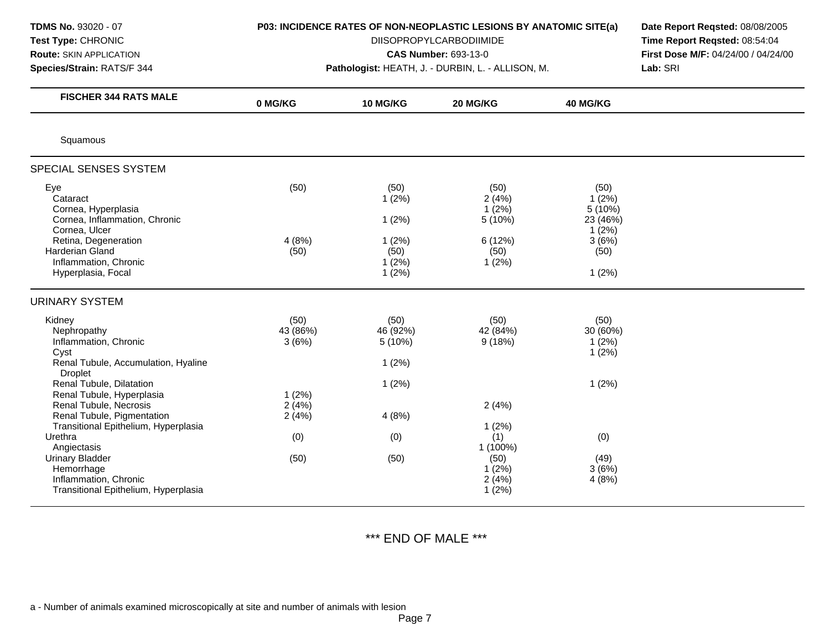| <b>TDMS No. 93020 - 07</b><br>Test Type: CHRONIC<br><b>Route: SKIN APPLICATION</b><br>Species/Strain: RATS/F 344                                                                   | P03: INCIDENCE RATES OF NON-NEOPLASTIC LESIONS BY ANATOMIC SITE(a)<br>Pathologist: HEATH, J. - DURBIN, L. - ALLISON, M. | Date Report Reqsted: 08/08/2005<br>Time Report Reqsted: 08:54:04<br>First Dose M/F: 04/24/00 / 04/24/00<br>Lab: SRI |                                                               |                                                                         |  |
|------------------------------------------------------------------------------------------------------------------------------------------------------------------------------------|-------------------------------------------------------------------------------------------------------------------------|---------------------------------------------------------------------------------------------------------------------|---------------------------------------------------------------|-------------------------------------------------------------------------|--|
| <b>FISCHER 344 RATS MALE</b>                                                                                                                                                       | 0 MG/KG                                                                                                                 | <b>10 MG/KG</b>                                                                                                     | 20 MG/KG                                                      | 40 MG/KG                                                                |  |
| Squamous                                                                                                                                                                           |                                                                                                                         |                                                                                                                     |                                                               |                                                                         |  |
| SPECIAL SENSES SYSTEM                                                                                                                                                              |                                                                                                                         |                                                                                                                     |                                                               |                                                                         |  |
| Eye<br>Cataract<br>Cornea, Hyperplasia<br>Cornea, Inflammation, Chronic<br>Cornea, Ulcer<br>Retina, Degeneration<br>Harderian Gland<br>Inflammation, Chronic<br>Hyperplasia, Focal | (50)<br>4(8%)<br>(50)                                                                                                   | (50)<br>1(2%)<br>1(2%)<br>1(2%)<br>(50)<br>1(2%)<br>1(2%)                                                           | (50)<br>2(4%)<br>1(2%)<br>5 (10%)<br>6 (12%)<br>(50)<br>1(2%) | (50)<br>1(2%)<br>5 (10%)<br>23 (46%)<br>1(2%)<br>3(6%)<br>(50)<br>1(2%) |  |
| <b>URINARY SYSTEM</b>                                                                                                                                                              |                                                                                                                         |                                                                                                                     |                                                               |                                                                         |  |
| Kidney<br>Nephropathy<br>Inflammation, Chronic<br>Cyst<br>Renal Tubule, Accumulation, Hyaline<br><b>Droplet</b><br>Renal Tubule, Dilatation                                        | (50)<br>43 (86%)<br>3(6%)                                                                                               | (50)<br>46 (92%)<br>5(10%)<br>1(2%)<br>1(2%)                                                                        | (50)<br>42 (84%)<br>9(18%)                                    | (50)<br>30 (60%)<br>1(2%)<br>1(2%)<br>1(2%)                             |  |
| Renal Tubule, Hyperplasia<br>Renal Tubule, Necrosis<br>Renal Tubule, Pigmentation<br>Transitional Epithelium, Hyperplasia                                                          | 1(2%)<br>2(4%)<br>2(4%)                                                                                                 | 4(8%)                                                                                                               | 2(4%)<br>1(2%)                                                |                                                                         |  |
| Urethra<br>Angiectasis<br><b>Urinary Bladder</b><br>Hemorrhage<br>Inflammation, Chronic<br>Transitional Epithelium, Hyperplasia                                                    | (0)<br>(50)                                                                                                             | (0)<br>(50)                                                                                                         | (1)<br>1 (100%)<br>(50)<br>1(2%)<br>2(4%)<br>1(2%)            | (0)<br>(49)<br>3(6%)<br>4(8%)                                           |  |

\*\*\* END OF MALE \*\*\*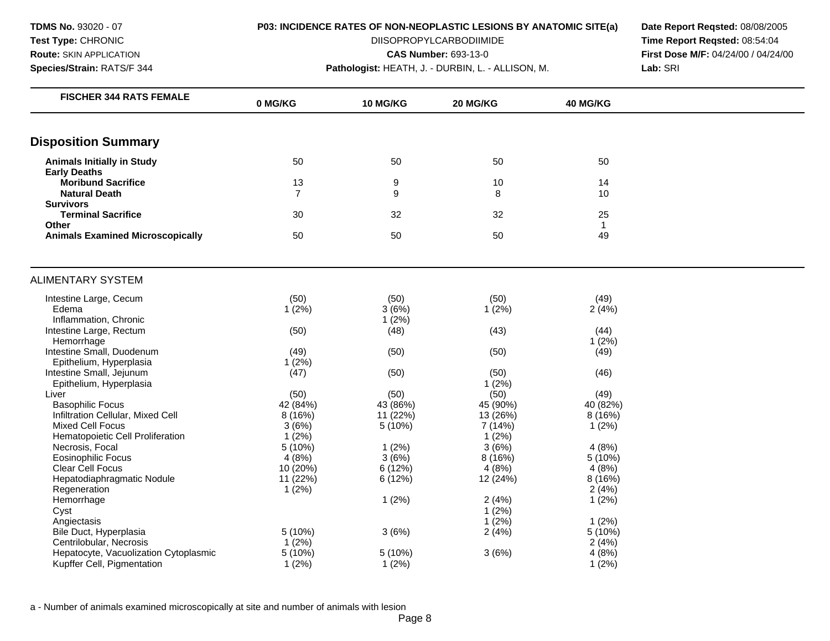**TDMS No.** 93020 - 07 **Test Type:** CHRONIC **Route:** SKIN APPLICATION **Species/Strain:** RATS/F 344

### **P03: INCIDENCE RATES OF NON-NEOPLASTIC LESIONS BY ANATOMIC SITE(a)**

DIISOPROPYLCARBODIIMIDE

**CAS Number:** 693-13-0

**Pathologist:** HEATH, J. - DURBIN, L. - ALLISON, M.

**Date Report Reqsted:** 08/08/2005 **Time Report Reqsted:** 08:54:04 **First Dose M/F:** 04/24/00 / 04/24/00 **Lab:** SRI

| <b>FISCHER 344 RATS FEMALE</b>                    | 0 MG/KG         | <b>10 MG/KG</b> | 20 MG/KG | 40 MG/KG        |  |
|---------------------------------------------------|-----------------|-----------------|----------|-----------------|--|
|                                                   |                 |                 |          |                 |  |
| <b>Disposition Summary</b>                        |                 |                 |          |                 |  |
| <b>Animals Initially in Study</b>                 | 50              | 50              | 50       | 50              |  |
| <b>Early Deaths</b>                               |                 |                 |          |                 |  |
| <b>Moribund Sacrifice</b>                         | 13              | 9               | 10       | 14              |  |
| <b>Natural Death</b>                              | $\overline{7}$  | 9               | 8        | 10              |  |
| <b>Survivors</b>                                  |                 |                 |          |                 |  |
| <b>Terminal Sacrifice</b>                         | 30              | 32              | 32       | 25              |  |
| <b>Other</b>                                      |                 |                 |          | $\mathbf{1}$    |  |
| <b>Animals Examined Microscopically</b>           | 50              | 50              | 50       | 49              |  |
| <b>ALIMENTARY SYSTEM</b>                          |                 |                 |          |                 |  |
| Intestine Large, Cecum                            | (50)            | (50)            | (50)     | (49)            |  |
| Edema                                             | 1(2%)           | 3(6%)           | 1(2%)    | 2(4%)           |  |
| Inflammation, Chronic                             |                 | 1(2%)           |          |                 |  |
| Intestine Large, Rectum                           | (50)            | (48)            | (43)     | (44)            |  |
| Hemorrhage                                        |                 |                 |          | 1(2%)           |  |
| Intestine Small, Duodenum                         | (49)            | (50)            | (50)     | (49)            |  |
| Epithelium, Hyperplasia                           | 1(2%)           |                 |          |                 |  |
| Intestine Small, Jejunum                          | (47)            | (50)            | (50)     | (46)            |  |
| Epithelium, Hyperplasia                           |                 |                 | 1(2%)    |                 |  |
| Liver                                             | (50)            | (50)            | (50)     | (49)            |  |
| <b>Basophilic Focus</b>                           | 42 (84%)        | 43 (86%)        | 45 (90%) | 40 (82%)        |  |
| Infiltration Cellular, Mixed Cell                 | 8 (16%)         | 11 (22%)        | 13 (26%) | 8 (16%)         |  |
| <b>Mixed Cell Focus</b>                           | 3(6%)           | 5(10%)          | 7 (14%)  | 1(2%)           |  |
| Hematopoietic Cell Proliferation                  | $1(2\%)$        |                 | 1(2%)    |                 |  |
| Necrosis, Focal                                   | 5(10%)          | 1(2%)           | 3(6%)    | 4(8%)           |  |
| Eosinophilic Focus                                | 4(8%)           | 3(6%)           | 8 (16%)  | 5 (10%)         |  |
| Clear Cell Focus                                  | 10 (20%)        | 6(12%)          | 4(8%)    | 4(8%)           |  |
| Hepatodiaphragmatic Nodule                        | 11(22%)         | 6 (12%)         | 12 (24%) | 8 (16%)         |  |
| Regeneration                                      | 1(2%)           |                 |          | 2(4%)           |  |
| Hemorrhage                                        |                 | 1(2%)           | 2(4%)    | 1(2%)           |  |
| Cyst                                              |                 |                 | $1(2\%)$ |                 |  |
| Angiectasis                                       |                 |                 | 1(2%)    | 1(2%)           |  |
| Bile Duct, Hyperplasia<br>Centrilobular, Necrosis | 5(10%)<br>1(2%) | 3(6%)           | 2(4%)    | 5(10%)<br>2(4%) |  |
| Hepatocyte, Vacuolization Cytoplasmic             | 5(10%)          | 5 (10%)         | 3(6%)    | 4(8%)           |  |
| Kupffer Cell, Pigmentation                        | 1(2%)           | 1(2%)           |          | 1(2%)           |  |
|                                                   |                 |                 |          |                 |  |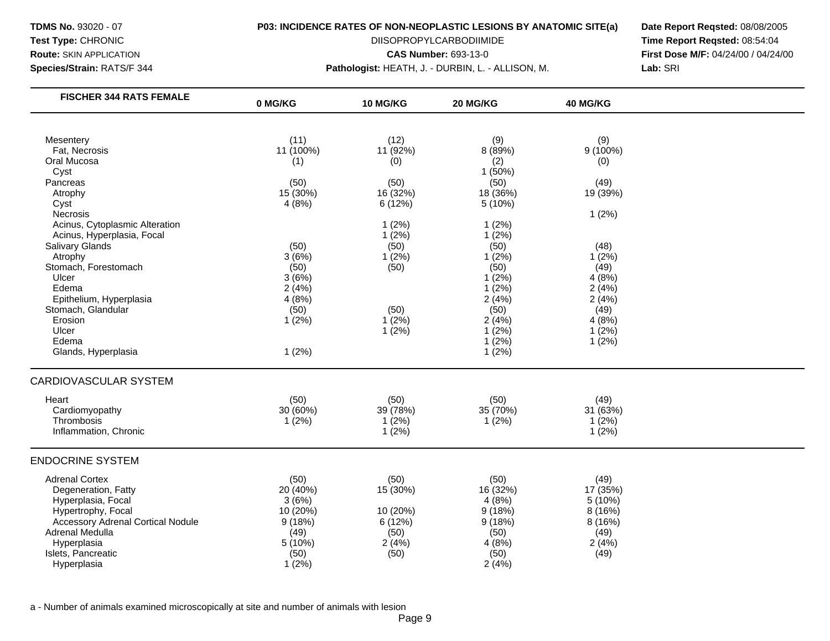**Species/Strain:** RATS/F 344 **Pathologist:** HEATH, J. - DURBIN, L. - ALLISON, M. **Lab:** SRI

**Test Type: CHRONIC CHRONIC** DIISOPROPYLCARBODIIMIDE **Time Report Reqsted:** 08:54:04 **Route:** SKIN APPLICATION **CAS Number: 693-13-0 CAS Number: 693-13-0 First Dose M/F:** 04/24/00 / 04/24/00

| <b>FISCHER 344 RATS FEMALE</b>           | 0 MG/KG   | 10 MG/KG | 20 MG/KG | 40 MG/KG |  |
|------------------------------------------|-----------|----------|----------|----------|--|
|                                          |           |          |          |          |  |
| Mesentery                                | (11)      | (12)     | (9)      | (9)      |  |
| Fat, Necrosis                            | 11 (100%) | 11 (92%) | 8 (89%)  | 9 (100%) |  |
| Oral Mucosa                              | (1)       | (0)      | (2)      | (0)      |  |
| Cyst                                     |           |          | 1 (50%)  |          |  |
| Pancreas                                 | (50)      | (50)     | (50)     | (49)     |  |
| Atrophy                                  | 15 (30%)  | 16 (32%) | 18 (36%) | 19 (39%) |  |
| Cyst                                     | 4(8%)     | 6(12%)   | 5 (10%)  |          |  |
| Necrosis                                 |           |          |          | 1(2%)    |  |
| Acinus, Cytoplasmic Alteration           |           | 1(2%)    | 1(2%)    |          |  |
| Acinus, Hyperplasia, Focal               |           | 1(2%)    | 1(2%)    |          |  |
| Salivary Glands                          | (50)      | (50)     | (50)     | (48)     |  |
| Atrophy                                  | 3(6%)     | $1(2\%)$ | 1(2%)    | 1(2%)    |  |
| Stomach, Forestomach                     | (50)      | (50)     | (50)     | (49)     |  |
| Ulcer                                    | 3(6%)     |          | 1(2%)    | 4(8%)    |  |
| Edema                                    | 2(4%)     |          | $1(2\%)$ | 2(4%)    |  |
| Epithelium, Hyperplasia                  | 4(8%)     |          | 2(4%)    | 2(4%)    |  |
| Stomach, Glandular                       | (50)      | (50)     | (50)     | (49)     |  |
| Erosion                                  | 1(2%)     | $1(2\%)$ | 2(4%)    | 4(8%)    |  |
| Ulcer                                    |           | $1(2\%)$ | 1(2%)    | 1(2%)    |  |
| Edema                                    |           |          | 1(2%)    | 1(2%)    |  |
| Glands, Hyperplasia                      | 1(2%)     |          | 1(2%)    |          |  |
| <b>CARDIOVASCULAR SYSTEM</b>             |           |          |          |          |  |
| Heart                                    | (50)      | (50)     | (50)     | (49)     |  |
| Cardiomyopathy                           | 30 (60%)  | 39 (78%) | 35 (70%) | 31 (63%) |  |
| Thrombosis                               | 1(2%)     | 1(2%)    | 1(2%)    | 1(2%)    |  |
| Inflammation, Chronic                    |           | $1(2\%)$ |          | 1(2%)    |  |
| <b>ENDOCRINE SYSTEM</b>                  |           |          |          |          |  |
| <b>Adrenal Cortex</b>                    | (50)      | (50)     | (50)     | (49)     |  |
| Degeneration, Fatty                      | 20 (40%)  | 15 (30%) | 16 (32%) | 17 (35%) |  |
| Hyperplasia, Focal                       | 3(6%)     |          | 4(8%)    | 5 (10%)  |  |
| Hypertrophy, Focal                       | 10 (20%)  | 10 (20%) | 9(18%)   | 8(16%)   |  |
| <b>Accessory Adrenal Cortical Nodule</b> | 9(18%)    | 6(12%)   | 9(18%)   | 8 (16%)  |  |
| Adrenal Medulla                          | (49)      | (50)     | (50)     | (49)     |  |
| Hyperplasia                              | 5(10%)    | 2(4%)    | 4(8%)    | 2(4%)    |  |
| Islets, Pancreatic                       | (50)      | (50)     | (50)     | (49)     |  |
| Hyperplasia                              | 1(2%)     |          | 2(4%)    |          |  |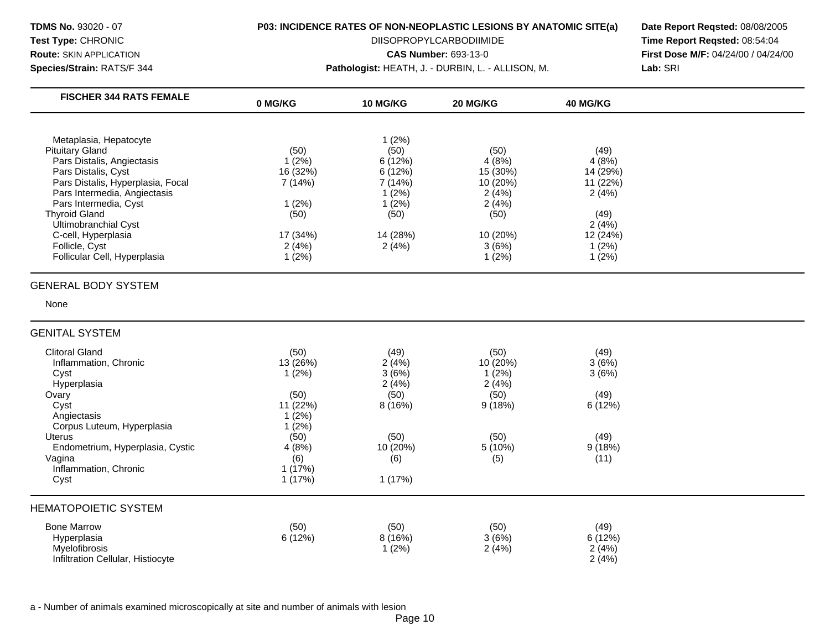**Species/Strain:** RATS/F 344 **Pathologist:** HEATH, J. - DURBIN, L. - ALLISON, M. **Lab:** SRI

**Test Type: CHRONIC CHRONIC** DIISOPROPYLCARBODIIMIDE **Time Report Reqsted:** 08:54:04 **Route:** SKIN APPLICATION **CAS Number:** 693-13-0 **First Dose M/F:** 04/24/00 / 04/24/00

| <b>FISCHER 344 RATS FEMALE</b>    | 0 MG/KG  | <b>10 MG/KG</b> | 20 MG/KG | 40 MG/KG |  |
|-----------------------------------|----------|-----------------|----------|----------|--|
|                                   |          |                 |          |          |  |
| Metaplasia, Hepatocyte            |          | 1(2%)           |          |          |  |
| <b>Pituitary Gland</b>            | (50)     | (50)            | (50)     | (49)     |  |
| Pars Distalis, Angiectasis        | 1(2%)    | 6(12%)          | 4(8%)    | 4(8%)    |  |
| Pars Distalis, Cyst               | 16 (32%) | 6 (12%)         | 15 (30%) | 14 (29%) |  |
| Pars Distalis, Hyperplasia, Focal | 7 (14%)  | 7 (14%)         | 10 (20%) | 11 (22%) |  |
| Pars Intermedia, Angiectasis      |          | 1(2%)           | 2(4%)    | 2(4%)    |  |
| Pars Intermedia, Cyst             | 1(2%)    | (2%)            | 2(4%)    |          |  |
| <b>Thyroid Gland</b>              | (50)     | (50)            | (50)     | (49)     |  |
| Ultimobranchial Cyst              |          |                 |          | 2(4%)    |  |
| C-cell, Hyperplasia               | 17 (34%) | 14 (28%)        | 10 (20%) | 12 (24%) |  |
| Follicle, Cyst                    | 2(4%)    | 2(4%)           | 3(6%)    | 1(2%)    |  |
| Follicular Cell, Hyperplasia      | 1(2%)    |                 | 1(2%)    | 1(2%)    |  |
|                                   |          |                 |          |          |  |
| <b>GENERAL BODY SYSTEM</b>        |          |                 |          |          |  |
| None                              |          |                 |          |          |  |

# GENITAL SYSTEM

| <b>Clitoral Gland</b><br>Inflammation, Chronic<br>Cyst<br>Hyperplasia<br>Ovary<br>Cyst<br>Angiectasis<br>Corpus Luteum, Hyperplasia<br><b>Uterus</b><br>Endometrium, Hyperplasia, Cystic<br>Vagina<br>Inflammation, Chronic<br>Cyst | (50)<br>13 (26%)<br>1(2%)<br>(50)<br>11 (22%)<br>1(2%)<br>1(2%)<br>(50)<br>4(8%)<br>(6)<br>1(17%)<br>1(17%) | (49)<br>2(4%)<br>3(6%)<br>2(4%)<br>(50)<br>8(16%)<br>(50)<br>10 (20%)<br>(6)<br>1(17%) | (50)<br>10 (20%)<br>$(2\%)$<br>2(4%)<br>(50)<br>9(18%)<br>(50)<br>5 (10%)<br>(5) | (49)<br>3(6%)<br>3(6%)<br>(49)<br>6(12%)<br>(49)<br>9(18%)<br>(11) |  |
|-------------------------------------------------------------------------------------------------------------------------------------------------------------------------------------------------------------------------------------|-------------------------------------------------------------------------------------------------------------|----------------------------------------------------------------------------------------|----------------------------------------------------------------------------------|--------------------------------------------------------------------|--|
| <b>HEMATOPOIETIC SYSTEM</b>                                                                                                                                                                                                         |                                                                                                             |                                                                                        |                                                                                  |                                                                    |  |
| <b>Bone Marrow</b><br>Hyperplasia<br>Myelofibrosis<br>Infiltration Cellular, Histiocyte                                                                                                                                             | (50)<br>6(12%)                                                                                              | (50)<br>8(16%)<br>1(2%)                                                                | (50)<br>3(6%)<br>2(4%)                                                           | (49)<br>6(12%)<br>2(4%)<br>2(4%)                                   |  |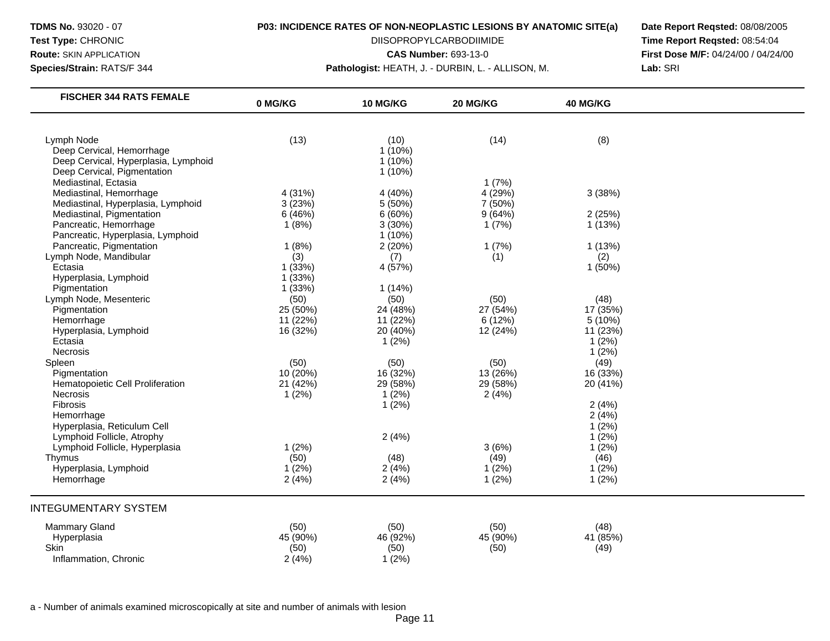**Species/Strain:** RATS/F 344 **Pathologist:** HEATH, J. - DURBIN, L. - ALLISON, M. **Lab:** SRI

**Test Type: CHRONIC CHRONIC** DIISOPROPYLCARBODIIMIDE **Time Report Reqsted:** 08:54:04 **Route:** SKIN APPLICATION **CAS Number:** 693-13-0 **First Dose M/F:** 04/24/00 / 04/24/00

| <b>FISCHER 344 RATS FEMALE</b>       | 0 MG/KG  | 10 MG/KG  | 20 MG/KG | 40 MG/KG |  |
|--------------------------------------|----------|-----------|----------|----------|--|
|                                      |          |           |          |          |  |
| Lymph Node                           | (13)     | (10)      | (14)     | (8)      |  |
| Deep Cervical, Hemorrhage            |          | $1(10\%)$ |          |          |  |
| Deep Cervical, Hyperplasia, Lymphoid |          | $1(10\%)$ |          |          |  |
| Deep Cervical, Pigmentation          |          | $1(10\%)$ |          |          |  |
| Mediastinal, Ectasia                 |          |           | 1(7%)    |          |  |
| Mediastinal, Hemorrhage              | 4 (31%)  | 4 (40%)   | 4 (29%)  | 3(38%)   |  |
| Mediastinal, Hyperplasia, Lymphoid   | 3(23%)   | 5 (50%)   | 7 (50%)  |          |  |
| Mediastinal, Pigmentation            | 6 (46%)  | 6(60%)    | 9(64%)   | 2(25%)   |  |
| Pancreatic, Hemorrhage               | 1(8%)    | 3(30%)    | 1(7%)    | 1(13%)   |  |
| Pancreatic, Hyperplasia, Lymphoid    |          | $1(10\%)$ |          |          |  |
| Pancreatic, Pigmentation             | 1(8%)    | 2(20%)    | 1(7%)    | 1 (13%)  |  |
| Lymph Node, Mandibular               | (3)      | (7)       | (1)      | (2)      |  |
| Ectasia                              | 1(33%)   | 4 (57%)   |          | 1(50%)   |  |
| Hyperplasia, Lymphoid                | 1(33%)   |           |          |          |  |
| Pigmentation                         | 1(33%)   | 1(14%)    |          |          |  |
| Lymph Node, Mesenteric               | (50)     | (50)      | (50)     | (48)     |  |
| Pigmentation                         | 25 (50%) | 24 (48%)  | 27 (54%) | 17 (35%) |  |
| Hemorrhage                           | 11(22%)  | 11 (22%)  | 6(12%)   | 5(10%)   |  |
| Hyperplasia, Lymphoid                | 16 (32%) | 20 (40%)  | 12 (24%) | 11 (23%) |  |
| Ectasia                              |          | 1(2%)     |          | 1(2%)    |  |
| Necrosis                             |          |           |          | 1(2%)    |  |
| Spleen                               | (50)     | (50)      | (50)     | (49)     |  |
| Pigmentation                         | 10 (20%) | 16 (32%)  | 13 (26%) | 16 (33%) |  |
| Hematopoietic Cell Proliferation     | 21 (42%) | 29 (58%)  | 29 (58%) | 20 (41%) |  |
| Necrosis                             | 1(2%)    | 1(2%)     | 2(4%)    |          |  |
| Fibrosis                             |          | 1(2%)     |          | 2(4%)    |  |
| Hemorrhage                           |          |           |          | 2(4%)    |  |
| Hyperplasia, Reticulum Cell          |          |           |          | 1(2%)    |  |
| Lymphoid Follicle, Atrophy           |          | 2(4%)     |          | 1(2%)    |  |
| Lymphoid Follicle, Hyperplasia       | 1(2%)    |           | 3(6%)    | 1(2%)    |  |
| Thymus                               | (50)     | (48)      | (49)     | (46)     |  |
| Hyperplasia, Lymphoid                | 1(2%)    | 2(4%)     | 1(2%)    | 1(2%)    |  |
| Hemorrhage                           | 2(4%)    | 2(4%)     | 1(2%)    | 1(2%)    |  |
| <b>INTEGUMENTARY SYSTEM</b>          |          |           |          |          |  |
| Mammary Gland                        | (50)     | (50)      | (50)     | (48)     |  |
| Hyperplasia                          | 45 (90%) | 46 (92%)  | 45 (90%) | 41 (85%) |  |
| Skin                                 | (50)     | (50)      | (50)     | (49)     |  |
| Inflammation, Chronic                | 2(4%)    | 1(2%)     |          |          |  |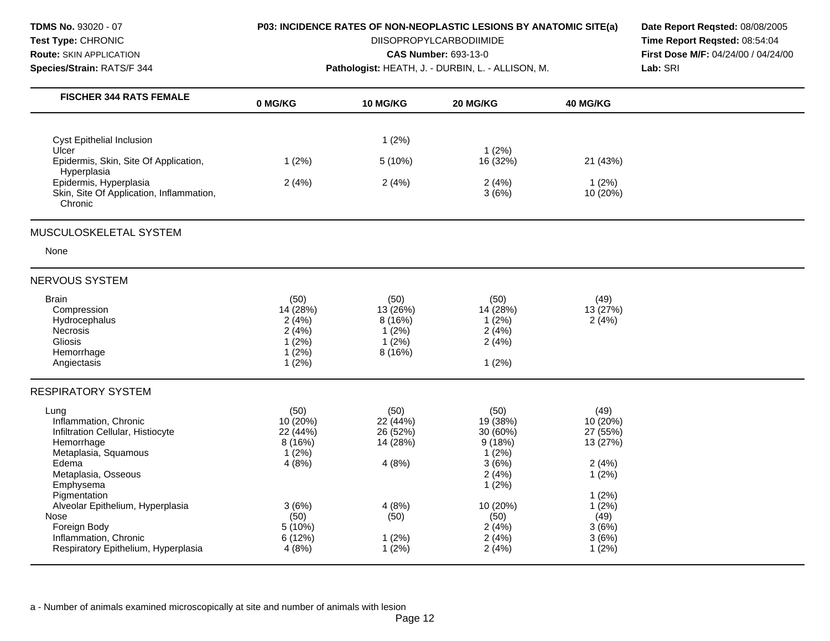| <b>TDMS No. 93020 - 07</b><br>Test Type: CHRONIC<br><b>Route: SKIN APPLICATION</b><br>Species/Strain: RATS/F 344                                                                                                                                                                                                               | <b>P03: INCIDENCE RATES OF NON-NEOPLASTIC LESIONS BY ANATOMIC SITE(a)</b><br>Pathologist: HEATH, J. - DURBIN, L. - ALLISON, M. | Date Report Regsted: 08/08/2005<br>Time Report Regsted: 08:54:04<br><b>First Dose M/F: 04/24/00 / 04/24/00</b><br>Lab: SRI |                                                                                                                              |                                                                                                                    |  |
|--------------------------------------------------------------------------------------------------------------------------------------------------------------------------------------------------------------------------------------------------------------------------------------------------------------------------------|--------------------------------------------------------------------------------------------------------------------------------|----------------------------------------------------------------------------------------------------------------------------|------------------------------------------------------------------------------------------------------------------------------|--------------------------------------------------------------------------------------------------------------------|--|
| <b>FISCHER 344 RATS FEMALE</b>                                                                                                                                                                                                                                                                                                 | 0 MG/KG                                                                                                                        | <b>10 MG/KG</b>                                                                                                            | 20 MG/KG                                                                                                                     | 40 MG/KG                                                                                                           |  |
| <b>Cyst Epithelial Inclusion</b><br>Ulcer<br>Epidermis, Skin, Site Of Application,<br>Hyperplasia<br>Epidermis, Hyperplasia<br>Skin, Site Of Application, Inflammation,                                                                                                                                                        | 1(2%)<br>2(4%)                                                                                                                 | 1(2%)<br>5(10%)<br>2(4%)                                                                                                   | $1(2\%)$<br>16 (32%)<br>2(4%)<br>3(6%)                                                                                       | 21 (43%)<br>1(2%)<br>10 (20%)                                                                                      |  |
| Chronic<br>MUSCULOSKELETAL SYSTEM<br>None                                                                                                                                                                                                                                                                                      |                                                                                                                                |                                                                                                                            |                                                                                                                              |                                                                                                                    |  |
| <b>NERVOUS SYSTEM</b><br><b>Brain</b><br>Compression<br><b>Hydrocephalus</b><br>Necrosis<br><b>Gliosis</b><br>Hemorrhage<br>Angiectasis                                                                                                                                                                                        | (50)<br>14 (28%)<br>2(4%)<br>2(4%)<br>1(2%)<br>$1(2\%)$<br>1(2%)                                                               | (50)<br>13 (26%)<br>8(16%)<br>1(2%)<br>1(2%)<br>8 (16%)                                                                    | (50)<br>14 (28%)<br>1(2%)<br>2(4%)<br>2(4%)<br>1(2%)                                                                         | (49)<br>13 (27%)<br>2(4%)                                                                                          |  |
| <b>RESPIRATORY SYSTEM</b><br>Lung<br>Inflammation, Chronic<br>Infiltration Cellular, Histiocyte<br>Hemorrhage<br>Metaplasia, Squamous<br>Edema<br>Metaplasia, Osseous<br>Emphysema<br>Pigmentation<br>Alveolar Epithelium, Hyperplasia<br>Nose<br>Foreign Body<br>Inflammation, Chronic<br>Respiratory Epithelium, Hyperplasia | (50)<br>10 (20%)<br>22 (44%)<br>8 (16%)<br>1(2%)<br>4(8%)<br>3(6%)<br>(50)<br>5(10%)<br>6 (12%)<br>4 (8%)                      | (50)<br>22 (44%)<br>26 (52%)<br>14 (28%)<br>4(8%)<br>4(8%)<br>(50)<br>1(2%)<br>$1(2\%)$                                    | (50)<br>19 (38%)<br>30 (60%)<br>9(18%)<br>$1(2\%)$<br>3(6%)<br>2(4%)<br>1(2%)<br>10 (20%)<br>(50)<br>2(4%)<br>2(4%)<br>2(4%) | (49)<br>10 (20%)<br>27 (55%)<br>13 (27%)<br>2(4%)<br>1(2%)<br>1(2%)<br>$1(2\%)$<br>(49)<br>3(6%)<br>3(6%)<br>1(2%) |  |